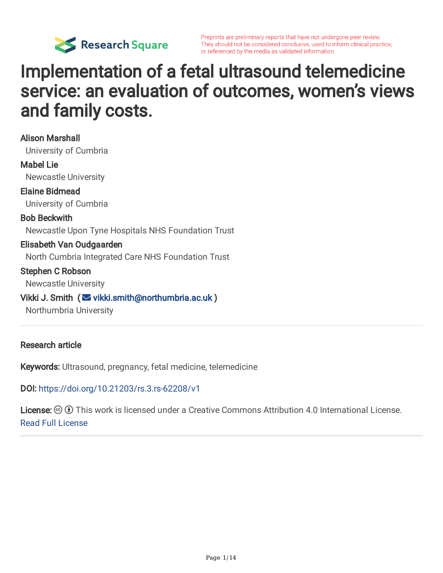

# Implementation of a fetal ultrasound telemedicine service: an evaluation of outcomes, women's views and family costs.

Alison Marshall University of Cumbria Mabel Lie Newcastle University Elaine Bidmead University of Cumbria Bob Beckwith Newcastle Upon Tyne Hospitals NHS Foundation Trust Elisabeth Van Oudgaarden North Cumbria Integrated Care NHS Foundation Trust Stephen C Robson Newcastle University Vikki J. Smith  $\infty$  [vikki.smith@northumbria.ac.uk](mailto:vikki.smith@northumbria.ac.uk)) Northumbria University

#### Research article

Keywords: Ultrasound, pregnancy, fetal medicine, telemedicine

DOI: <https://doi.org/10.21203/rs.3.rs-62208/v1>

License:  $\odot$  0 This work is licensed under a Creative Commons Attribution 4.0 International License. Read Full [License](https://creativecommons.org/licenses/by/4.0/)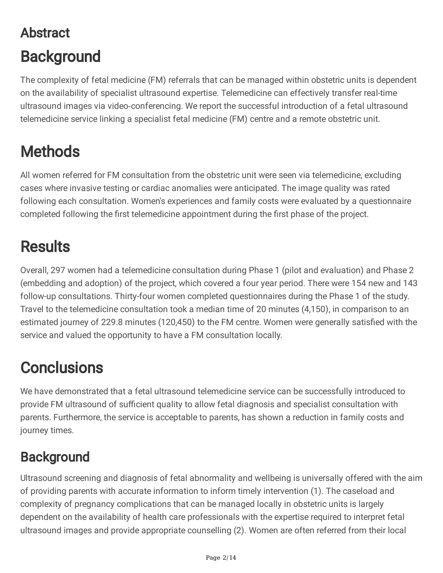# Abstract **Background**

The complexity of fetal medicine (FM) referrals that can be managed within obstetric units is dependent on the availability of specialist ultrasound expertise. Telemedicine can effectively transfer real-time ultrasound images via video‐conferencing. We report the successful introduction of a fetal ultrasound telemedicine service linking a specialist fetal medicine (FM) centre and a remote obstetric unit.

# **Methods**

All women referred for FM consultation from the obstetric unit were seen via telemedicine, excluding cases where invasive testing or cardiac anomalies were anticipated. The image quality was rated following each consultation. Women's experiences and family costs were evaluated by a questionnaire completed following the first telemedicine appointment during the first phase of the project.

## **Results**

Overall, 297 women had a telemedicine consultation during Phase 1 (pilot and evaluation) and Phase 2 (embedding and adoption) of the project, which covered a four year period. There were 154 new and 143 follow-up consultations. Thirty-four women completed questionnaires during the Phase 1 of the study. Travel to the telemedicine consultation took a median time of 20 minutes (4,150), in comparison to an estimated journey of 229.8 minutes (120,450) to the FM centre. Women were generally satisfied with the service and valued the opportunity to have a FM consultation locally.

# **Conclusions**

We have demonstrated that a fetal ultrasound telemedicine service can be successfully introduced to provide FM ultrasound of sufficient quality to allow fetal diagnosis and specialist consultation with parents. Furthermore, the service is acceptable to parents, has shown a reduction in family costs and journey times.

### **Background**

Ultrasound screening and diagnosis of fetal abnormality and wellbeing is universally offered with the aim of providing parents with accurate information to inform timely intervention (1). The caseload and complexity of pregnancy complications that can be managed locally in obstetric units is largely dependent on the availability of health care professionals with the expertise required to interpret fetal ultrasound images and provide appropriate counselling (2). Women are often referred from their local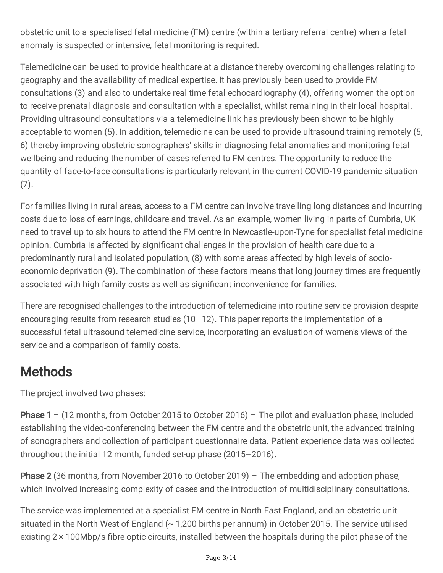obstetric unit to a specialised fetal medicine (FM) centre (within a tertiary referral centre) when a fetal anomaly is suspected or intensive, fetal monitoring is required.

Telemedicine can be used to provide healthcare at a distance thereby overcoming challenges relating to geography and the availability of medical expertise. It has previously been used to provide FM consultations (3) and also to undertake real time fetal echocardiography (4), offering women the option to receive prenatal diagnosis and consultation with a specialist, whilst remaining in their local hospital. Providing ultrasound consultations via a telemedicine link has previously been shown to be highly acceptable to women (5). In addition, telemedicine can be used to provide ultrasound training remotely (5, 6) thereby improving obstetric sonographers' skills in diagnosing fetal anomalies and monitoring fetal wellbeing and reducing the number of cases referred to FM centres. The opportunity to reduce the quantity of face-to-face consultations is particularly relevant in the current COVID-19 pandemic situation (7).

For families living in rural areas, access to a FM centre can involve travelling long distances and incurring costs due to loss of earnings, childcare and travel. As an example, women living in parts of Cumbria, UK need to travel up to six hours to attend the FM centre in Newcastle-upon-Tyne for specialist fetal medicine opinion. Cumbria is affected by significant challenges in the provision of health care due to a predominantly rural and isolated population, (8) with some areas affected by high levels of socioeconomic deprivation (9). The combination of these factors means that long journey times are frequently associated with high family costs as well as significant inconvenience for families.

There are recognised challenges to the introduction of telemedicine into routine service provision despite encouraging results from research studies  $(10-12)$ . This paper reports the implementation of a successful fetal ultrasound telemedicine service, incorporating an evaluation of women's views of the service and a comparison of family costs.

## **Methods**

The project involved two phases:

**Phase 1** – (12 months, from October 2015 to October 2016) – The pilot and evaluation phase, included establishing the video-conferencing between the FM centre and the obstetric unit, the advanced training of sonographers and collection of participant questionnaire data. Patient experience data was collected throughout the initial 12 month, funded set-up phase (2015–2016).

**Phase 2** (36 months, from November 2016 to October 2019) – The embedding and adoption phase, which involved increasing complexity of cases and the introduction of multidisciplinary consultations.

The service was implemented at a specialist FM centre in North East England, and an obstetric unit situated in the North West of England  $($   $\sim$  1,200 births per annum) in October 2015. The service utilised existing  $2 \times 100$ Mbp/s fibre optic circuits, installed between the hospitals during the pilot phase of the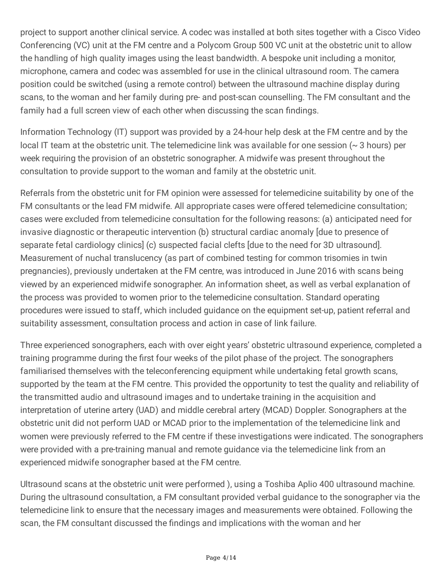project to support another clinical service. A codec was installed at both sites together with a Cisco Video Conferencing (VC) unit at the FM centre and a Polycom Group 500 VC unit at the obstetric unit to allow the handling of high quality images using the least bandwidth. A bespoke unit including a monitor, microphone, camera and codec was assembled for use in the clinical ultrasound room. The camera position could be switched (using a remote control) between the ultrasound machine display during scans, to the woman and her family during pre- and post-scan counselling. The FM consultant and the family had a full screen view of each other when discussing the scan findings.

Information Technology (IT) support was provided by a 24-hour help desk at the FM centre and by the local IT team at the obstetric unit. The telemedicine link was available for one session (~ 3 hours) per week requiring the provision of an obstetric sonographer. A midwife was present throughout the consultation to provide support to the woman and family at the obstetric unit.

Referrals from the obstetric unit for FM opinion were assessed for telemedicine suitability by one of the FM consultants or the lead FM midwife. All appropriate cases were offered telemedicine consultation; cases were excluded from telemedicine consultation for the following reasons: (a) anticipated need for invasive diagnostic or therapeutic intervention (b) structural cardiac anomaly [due to presence of separate fetal cardiology clinics] (c) suspected facial clefts [due to the need for 3D ultrasound]. Measurement of nuchal translucency (as part of combined testing for common trisomies in twin pregnancies), previously undertaken at the FM centre, was introduced in June 2016 with scans being viewed by an experienced midwife sonographer. An information sheet, as well as verbal explanation of the process was provided to women prior to the telemedicine consultation. Standard operating procedures were issued to staff, which included guidance on the equipment set-up, patient referral and suitability assessment, consultation process and action in case of link failure.

Three experienced sonographers, each with over eight years' obstetric ultrasound experience, completed a training programme during the first four weeks of the pilot phase of the project. The sonographers familiarised themselves with the teleconferencing equipment while undertaking fetal growth scans, supported by the team at the FM centre. This provided the opportunity to test the quality and reliability of the transmitted audio and ultrasound images and to undertake training in the acquisition and interpretation of uterine artery (UAD) and middle cerebral artery (MCAD) Doppler. Sonographers at the obstetric unit did not perform UAD or MCAD prior to the implementation of the telemedicine link and women were previously referred to the FM centre if these investigations were indicated. The sonographers were provided with a pre-training manual and remote guidance via the telemedicine link from an experienced midwife sonographer based at the FM centre.

Ultrasound scans at the obstetric unit were performed ), using a Toshiba Aplio 400 ultrasound machine. During the ultrasound consultation, a FM consultant provided verbal guidance to the sonographer via the telemedicine link to ensure that the necessary images and measurements were obtained. Following the scan, the FM consultant discussed the findings and implications with the woman and her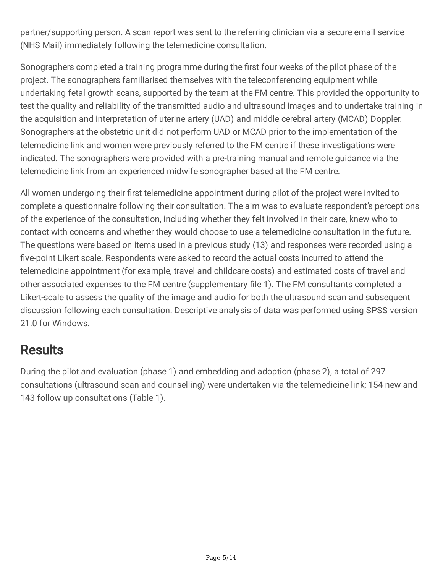partner/supporting person. A scan report was sent to the referring clinician via a secure email service (NHS Mail) immediately following the telemedicine consultation.

Sonographers completed a training programme during the first four weeks of the pilot phase of the project. The sonographers familiarised themselves with the teleconferencing equipment while undertaking fetal growth scans, supported by the team at the FM centre. This provided the opportunity to test the quality and reliability of the transmitted audio and ultrasound images and to undertake training in the acquisition and interpretation of uterine artery (UAD) and middle cerebral artery (MCAD) Doppler. Sonographers at the obstetric unit did not perform UAD or MCAD prior to the implementation of the telemedicine link and women were previously referred to the FM centre if these investigations were indicated. The sonographers were provided with a pre-training manual and remote guidance via the telemedicine link from an experienced midwife sonographer based at the FM centre.

All women undergoing their first telemedicine appointment during pilot of the project were invited to complete a questionnaire following their consultation. The aim was to evaluate respondent's perceptions of the experience of the consultation, including whether they felt involved in their care, knew who to contact with concerns and whether they would choose to use a telemedicine consultation in the future. The questions were based on items used in a previous study (13) and responses were recorded using a five-point Likert scale. Respondents were asked to record the actual costs incurred to attend the telemedicine appointment (for example, travel and childcare costs) and estimated costs of travel and other associated expenses to the FM centre (supplementary file 1). The FM consultants completed a Likert-scale to assess the quality of the image and audio for both the ultrasound scan and subsequent discussion following each consultation. Descriptive analysis of data was performed using SPSS version 21.0 for Windows.

### **Results**

During the pilot and evaluation (phase 1) and embedding and adoption (phase 2), a total of 297 consultations (ultrasound scan and counselling) were undertaken via the telemedicine link; 154 new and 143 follow-up consultations (Table 1).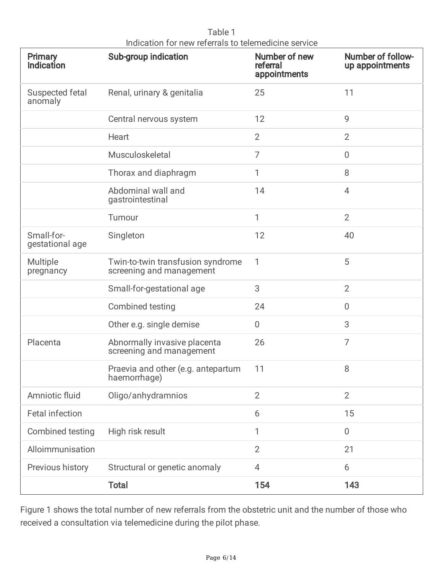| Table 1                                              |  |
|------------------------------------------------------|--|
| Indication for new referrals to telemedicine service |  |

| Primary<br><b>Indication</b>  | Sub-group indication                                          | Number of new<br>referral<br>appointments | <b>Number of follow-</b><br>up appointments |
|-------------------------------|---------------------------------------------------------------|-------------------------------------------|---------------------------------------------|
| Suspected fetal<br>anomaly    | Renal, urinary & genitalia                                    | 25                                        | 11                                          |
|                               | Central nervous system                                        | 12                                        | 9                                           |
|                               | Heart                                                         | $\overline{2}$                            | $\overline{2}$                              |
|                               | Musculoskeletal                                               | $\overline{7}$                            | $\overline{0}$                              |
|                               | Thorax and diaphragm                                          | 1                                         | 8                                           |
|                               | Abdominal wall and<br>gastrointestinal                        | 14                                        | $\overline{4}$                              |
|                               | Tumour                                                        | 1                                         | $\overline{2}$                              |
| Small-for-<br>gestational age | Singleton                                                     | 12                                        | 40                                          |
| Multiple<br>pregnancy         | Twin-to-twin transfusion syndrome<br>screening and management | 1                                         | 5                                           |
|                               | Small-for-gestational age                                     | 3                                         | $\overline{2}$                              |
|                               | Combined testing                                              | 24                                        | $\mathbf 0$                                 |
|                               | Other e.g. single demise                                      | $\boldsymbol{0}$                          | 3                                           |
| Placenta                      | Abnormally invasive placenta<br>screening and management      | 26                                        | $\overline{7}$                              |
|                               | Praevia and other (e.g. antepartum<br>haemorrhage)            | 11                                        | 8                                           |
| Amniotic fluid                | Oligo/anhydramnios                                            | $\overline{2}$                            | $\overline{2}$                              |
| <b>Fetal infection</b>        |                                                               | 6                                         | 15                                          |
| Combined testing              | High risk result                                              | 1                                         | $\overline{0}$                              |
| Alloimmunisation              |                                                               | $\overline{2}$                            | 21                                          |
| Previous history              | Structural or genetic anomaly                                 | 4                                         | 6                                           |
|                               | <b>Total</b>                                                  | 154                                       | 143                                         |

Figure 1 shows the total number of new referrals from the obstetric unit and the number of those who received a consultation via telemedicine during the pilot phase.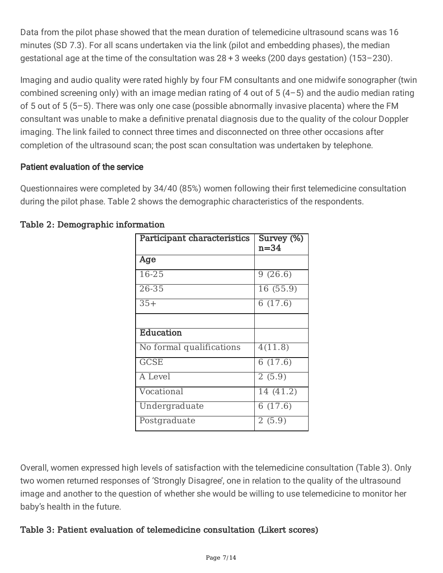Data from the pilot phase showed that the mean duration of telemedicine ultrasound scans was 16 minutes (SD 7.3). For all scans undertaken via the link (pilot and embedding phases), the median gestational age at the time of the consultation was 28 + 3 weeks (200 days gestation) (153–230).

Imaging and audio quality were rated highly by four FM consultants and one midwife sonographer (twin combined screening only) with an image median rating of 4 out of  $5(4-5)$  and the audio median rating of 5 out of 5 (5–5). There was only one case (possible abnormally invasive placenta) where the FM consultant was unable to make a definitive prenatal diagnosis due to the quality of the colour Doppler imaging. The link failed to connect three times and disconnected on three other occasions after completion of the ultrasound scan; the post scan consultation was undertaken by telephone.

#### Patient evaluation of the service

Questionnaires were completed by 34/40 (85%) women following their first telemedicine consultation during the pilot phase. Table 2 shows the demographic characteristics of the respondents.

| Participant characteristics | Survey (%)<br>$n=34$  |
|-----------------------------|-----------------------|
| Age                         |                       |
| $16 - 25$                   | $\overline{9}$ (26.6) |
| 26-35                       | 16 (55.9)             |
| $35+$                       | 6(17.6)               |
|                             |                       |
| Education                   |                       |
| No formal qualifications    | 4(11.8)               |
| <b>GCSE</b>                 | 6(17.6)               |
| A Level                     | 2(5.9)                |
| Vocational                  | 14(41.2)              |
| Undergraduate               | 6(17.6)               |
| Postgraduate                | 2(5.9)                |

#### Table 2: Demographic information

Overall, women expressed high levels of satisfaction with the telemedicine consultation (Table 3). Only two women returned responses of 'Strongly Disagree', one in relation to the quality of the ultrasound image and another to the question of whether she would be willing to use telemedicine to monitor her baby's health in the future.

#### Table 3: Patient evaluation of telemedicine consultation (Likert scores)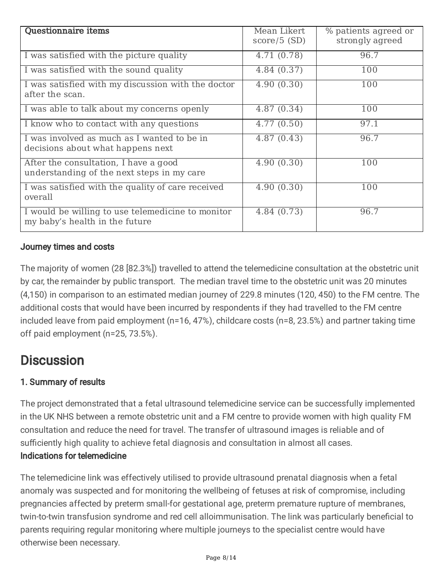| <b>Questionnaire items</b>                                                          | Mean Likert<br>$score/5$ (SD) | % patients agreed or<br>strongly agreed |
|-------------------------------------------------------------------------------------|-------------------------------|-----------------------------------------|
| I was satisfied with the picture quality                                            | 4.71 (0.78)                   | 96.7                                    |
| I was satisfied with the sound quality                                              | 4.84 (0.37)                   | 100                                     |
| I was satisfied with my discussion with the doctor<br>after the scan.               | 4.90(0.30)                    | 100                                     |
| I was able to talk about my concerns openly                                         | 4.87(0.34)                    | 100                                     |
| I know who to contact with any questions                                            | 4.77(0.50)                    | 97.1                                    |
| I was involved as much as I wanted to be in<br>decisions about what happens next    | 4.87(0.43)                    | 96.7                                    |
| After the consultation, I have a good<br>understanding of the next steps in my care | 4.90(0.30)                    | 100                                     |
| I was satisfied with the quality of care received<br>overall                        | 4.90(0.30)                    | 100                                     |
| I would be willing to use telemedicine to monitor<br>my baby's health in the future | 4.84 (0.73)                   | 96.7                                    |

#### Journey times and costs

The majority of women (28 [82.3%]) travelled to attend the telemedicine consultation at the obstetric unit by car, the remainder by public transport. The median travel time to the obstetric unit was 20 minutes (4,150) in comparison to an estimated median journey of 229.8 minutes (120, 450) to the FM centre. The additional costs that would have been incurred by respondents if they had travelled to the FM centre included leave from paid employment (n=16, 47%), childcare costs (n=8, 23.5%) and partner taking time off paid employment (n=25, 73.5%).

### **Discussion**

#### 1. Summary of results

The project demonstrated that a fetal ultrasound telemedicine service can be successfully implemented in the UK NHS between a remote obstetric unit and a FM centre to provide women with high quality FM consultation and reduce the need for travel. The transfer of ultrasound images is reliable and of sufficiently high quality to achieve fetal diagnosis and consultation in almost all cases. Indications for telemedicine

The telemedicine link was effectively utilised to provide ultrasound prenatal diagnosis when a fetal anomaly was suspected and for monitoring the wellbeing of fetuses at risk of compromise, including pregnancies affected by preterm small-for gestational age, preterm premature rupture of membranes, twin-to-twin transfusion syndrome and red cell alloimmunisation. The link was particularly beneficial to parents requiring regular monitoring where multiple journeys to the specialist centre would have otherwise been necessary.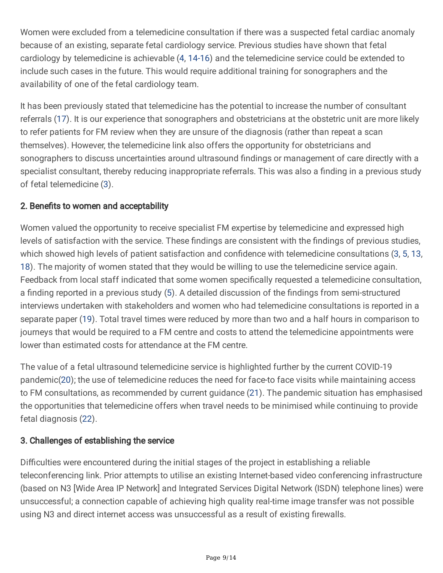Women were excluded from a telemedicine consultation if there was a suspected fetal cardiac anomaly because of an existing, separate fetal cardiology service. Previous studies have shown that fetal cardiology by telemedicine is achievable (4, 14-16) and the telemedicine service could be extended to include such cases in the future. This would require additional training for sonographers and the availability of one of the fetal cardiology team.

It has been previously stated that telemedicine has the potential to increase the number of consultant referrals (17). It is our experience that sonographers and obstetricians at the obstetric unit are more likely to refer patients for FM review when they are unsure of the diagnosis (rather than repeat a scan themselves). However, the telemedicine link also offers the opportunity for obstetricians and sonographers to discuss uncertainties around ultrasound findings or management of care directly with a specialist consultant, thereby reducing inappropriate referrals. This was also a finding in a previous study of fetal telemedicine (3).

#### 2. Benefits to women and acceptability

Women valued the opportunity to receive specialist FM expertise by telemedicine and expressed high levels of satisfaction with the service. These findings are consistent with the findings of previous studies, which showed high levels of patient satisfaction and confidence with telemedicine consultations (3, 5, 13, 18). The majority of women stated that they would be willing to use the telemedicine service again. Feedback from local staff indicated that some women specifically requested a telemedicine consultation, a finding reported in a previous study (5). A detailed discussion of the findings from semi-structured interviews undertaken with stakeholders and women who had telemedicine consultations is reported in a separate paper (19). Total travel times were reduced by more than two and a half hours in comparison to journeys that would be required to a FM centre and costs to attend the telemedicine appointments were lower than estimated costs for attendance at the FM centre.

The value of a fetal ultrasound telemedicine service is highlighted further by the current COVID-19 pandemic(20); the use of telemedicine reduces the need for face-to face visits while maintaining access to FM consultations, as recommended by current guidance (21). The pandemic situation has emphasised the opportunities that telemedicine offers when travel needs to be minimised while continuing to provide fetal diagnosis (22).

#### 3. Challenges of establishing the service

Difficulties were encountered during the initial stages of the project in establishing a reliable teleconferencing link. Prior attempts to utilise an existing Internet-based video conferencing infrastructure (based on N3 [Wide Area IP Network] and Integrated Services Digital Network (ISDN) telephone lines) were unsuccessful; a connection capable of achieving high quality real-time image transfer was not possible using N3 and direct internet access was unsuccessful as a result of existing firewalls.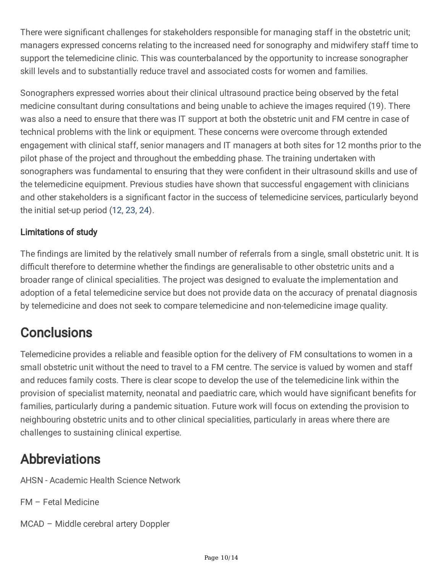There were significant challenges for stakeholders responsible for managing staff in the obstetric unit; managers expressed concerns relating to the increased need for sonography and midwifery staff time to support the telemedicine clinic. This was counterbalanced by the opportunity to increase sonographer skill levels and to substantially reduce travel and associated costs for women and families.

Sonographers expressed worries about their clinical ultrasound practice being observed by the fetal medicine consultant during consultations and being unable to achieve the images required (19). There was also a need to ensure that there was IT support at both the obstetric unit and FM centre in case of technical problems with the link or equipment. These concerns were overcome through extended engagement with clinical staff, senior managers and IT managers at both sites for 12 months prior to the pilot phase of the project and throughout the embedding phase. The training undertaken with sonographers was fundamental to ensuring that they were confident in their ultrasound skills and use of the telemedicine equipment. Previous studies have shown that successful engagement with clinicians and other stakeholders is a significant factor in the success of telemedicine services, particularly beyond the initial set-up period (12, 23, 24).

#### Limitations of study

The findings are limited by the relatively small number of referrals from a single, small obstetric unit. It is difficult therefore to determine whether the findings are generalisable to other obstetric units and a broader range of clinical specialities. The project was designed to evaluate the implementation and adoption of a fetal telemedicine service but does not provide data on the accuracy of prenatal diagnosis by telemedicine and does not seek to compare telemedicine and non-telemedicine image quality.

## **Conclusions**

Telemedicine provides a reliable and feasible option for the delivery of FM consultations to women in a small obstetric unit without the need to travel to a FM centre. The service is valued by women and staff and reduces family costs. There is clear scope to develop the use of the telemedicine link within the provision of specialist maternity, neonatal and paediatric care, which would have significant benefits for families, particularly during a pandemic situation. Future work will focus on extending the provision to neighbouring obstetric units and to other clinical specialities, particularly in areas where there are challenges to sustaining clinical expertise.

### Abbreviations

AHSN - Academic Health Science Network

- FM Fetal Medicine
- MCAD Middle cerebral artery Doppler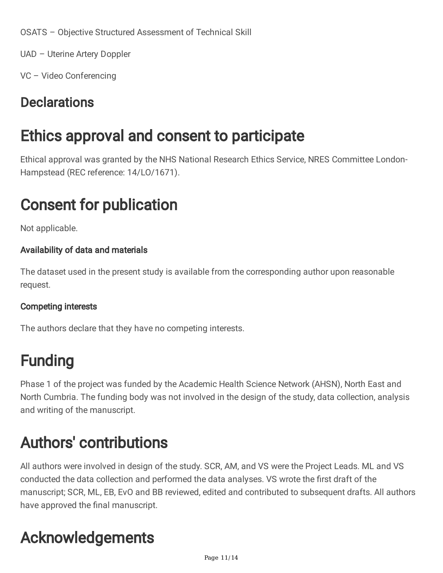OSATS – Objective Structured Assessment of Technical Skill

UAD – Uterine Artery Doppler

VC – Video Conferencing

### **Declarations**

## Ethics approval and consent to participate

Ethical approval was granted by the NHS National Research Ethics Service, NRES Committee London-Hampstead (REC reference: 14/LO/1671).

# Consent for publication

Not applicable.

#### Availability of data and materials

The dataset used in the present study is available from the corresponding author upon reasonable request.

#### Competing interests

The authors declare that they have no competing interests.

## Funding

Phase 1 of the project was funded by the Academic Health Science Network (AHSN), North East and North Cumbria. The funding body was not involved in the design of the study, data collection, analysis and writing of the manuscript.

## Authors' contributions

All authors were involved in design of the study. SCR, AM, and VS were the Project Leads. ML and VS conducted the data collection and performed the data analyses. VS wrote the first draft of the manuscript; SCR, ML, EB, EvO and BB reviewed, edited and contributed to subsequent drafts. All authors have approved the final manuscript.

# Acknowledgements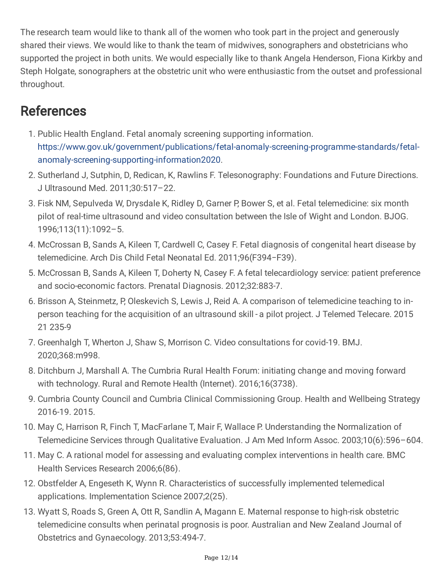The research team would like to thank all of the women who took part in the project and generously shared their views. We would like to thank the team of midwives, sonographers and obstetricians who supported the project in both units. We would especially like to thank Angela Henderson, Fiona Kirkby and Steph Holgate, sonographers at the obstetric unit who were enthusiastic from the outset and professional throughout.

### **References**

- 1. Public Health England. Fetal anomaly screening supporting information. [https://www.gov.uk/government/publications/fetal-anomaly-screening-programme-standards/fetal](https://www.gov.uk/government/publications/fetal-anomaly-screening-programme-standards/fetal-anomaly-screening-supporting-information2020)anomaly-screening-supporting-information2020.
- 2. Sutherland J, Sutphin, D, Redican, K, Rawlins F. Telesonography: Foundations and Future Directions. J Ultrasound Med. 2011;30:517–22.
- 3. Fisk NM, Sepulveda W, Drysdale K, Ridley D, Garner P, Bower S, et al. Fetal telemedicine: six month pilot of real-time ultrasound and video consultation between the Isle of Wight and London. BJOG. 1996;113(11):1092–5.
- 4. McCrossan B, Sands A, Kileen T, Cardwell C, Casey F. Fetal diagnosis of congenital heart disease by telemedicine. Arch Dis Child Fetal Neonatal Ed. 2011;96(F394−F39).
- 5. McCrossan B, Sands A, Kileen T, Doherty N, Casey F. A fetal telecardiology service: patient preference and socio-economic factors. Prenatal Diagnosis. 2012;32:883-7.
- 6. Brisson A, Steinmetz, P, Oleskevich S, Lewis J, Reid A. A comparison of telemedicine teaching to inperson teaching for the acquisition of an ultrasound skill - a pilot project. J Telemed Telecare. 2015 21 235-9
- 7. Greenhalgh T, Wherton J, Shaw S, Morrison C. Video consultations for covid-19. BMJ. 2020;368:m998.
- 8. Ditchburn J, Marshall A. The Cumbria Rural Health Forum: initiating change and moving forward with technology. Rural and Remote Health (Internet). 2016;16(3738).
- 9. Cumbria County Council and Cumbria Clinical Commissioning Group. Health and Wellbeing Strategy 2016-19. 2015.
- 10. May C, Harrison R, Finch T, MacFarlane T, Mair F, Wallace P. Understanding the Normalization of Telemedicine Services through Qualitative Evaluation. J Am Med Inform Assoc. 2003;10(6):596–604.
- 11. May C. A rational model for assessing and evaluating complex interventions in health care. BMC Health Services Research 2006;6(86).
- 12. Obstfelder A, Engeseth K, Wynn R. Characteristics of successfully implemented telemedical applications. Implementation Science 2007;2(25).
- 13. Wyatt S, Roads S, Green A, Ott R, Sandlin A, Magann E. Maternal response to high-risk obstetric telemedicine consults when perinatal prognosis is poor. Australian and New Zealand Journal of Obstetrics and Gynaecology. 2013;53:494-7.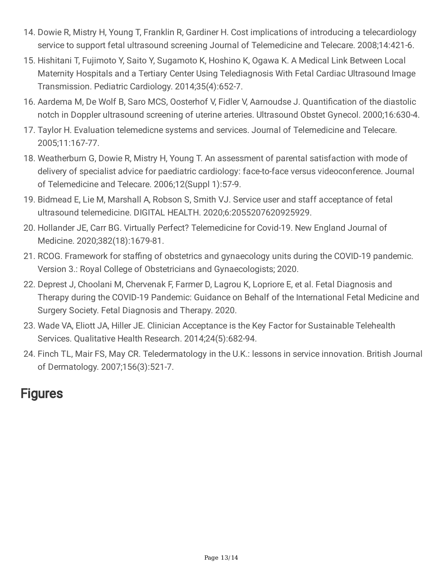- 14. Dowie R, Mistry H, Young T, Franklin R, Gardiner H. Cost implications of introducing a telecardiology service to support fetal ultrasound screening Journal of Telemedicine and Telecare. 2008;14:421-6.
- 15. Hishitani T, Fujimoto Y, Saito Y, Sugamoto K, Hoshino K, Ogawa K. A Medical Link Between Local Maternity Hospitals and a Tertiary Center Using Telediagnosis With Fetal Cardiac Ultrasound Image Transmission. Pediatric Cardiology. 2014;35(4):652-7.
- 16. Aardema M, De Wolf B, Saro MCS, Oosterhof V, Fidler V, Aarnoudse J. Quantification of the diastolic notch in Doppler ultrasound screening of uterine arteries. Ultrasound Obstet Gynecol. 2000;16:630-4.
- 17. Taylor H. Evaluation telemedicne systems and services. Journal of Telemedicine and Telecare. 2005;11:167-77.
- 18. Weatherburn G, Dowie R, Mistry H, Young T. An assessment of parental satisfaction with mode of delivery of specialist advice for paediatric cardiology: face-to-face versus videoconference. Journal of Telemedicine and Telecare. 2006;12(Suppl 1):57-9.
- 19. Bidmead E, Lie M, Marshall A, Robson S, Smith VJ. Service user and staff acceptance of fetal ultrasound telemedicine. DIGITAL HEALTH. 2020;6:2055207620925929.
- 20. Hollander JE, Carr BG. Virtually Perfect? Telemedicine for Covid-19. New England Journal of Medicine. 2020;382(18):1679-81.
- 21. RCOG. Framework for staffing of obstetrics and gynaecology units during the COVID-19 pandemic. Version 3.: Royal College of Obstetricians and Gynaecologists; 2020.
- 22. Deprest J, Choolani M, Chervenak F, Farmer D, Lagrou K, Lopriore E, et al. Fetal Diagnosis and Therapy during the COVID-19 Pandemic: Guidance on Behalf of the International Fetal Medicine and Surgery Society. Fetal Diagnosis and Therapy. 2020.
- 23. Wade VA, Eliott JA, Hiller JE. Clinician Acceptance is the Key Factor for Sustainable Telehealth Services. Qualitative Health Research. 2014;24(5):682-94.
- 24. Finch TL, Mair FS, May CR. Teledermatology in the U.K.: lessons in service innovation. British Journal of Dermatology. 2007;156(3):521-7.

### **Figures**